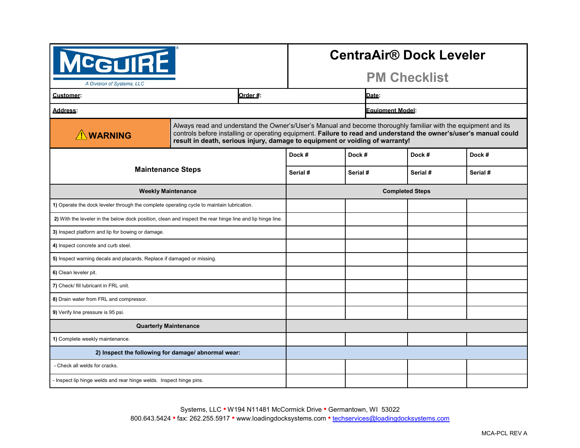| <b>CGUIRE</b><br>A Division of Systems, LLC                                                               |                                                                                                                                                                                                                                                                                                                     |          | <b>CentraAir<sup>®</sup> Dock Leveler</b><br><b>PM Checklist</b> |          |          |  |
|-----------------------------------------------------------------------------------------------------------|---------------------------------------------------------------------------------------------------------------------------------------------------------------------------------------------------------------------------------------------------------------------------------------------------------------------|----------|------------------------------------------------------------------|----------|----------|--|
| Customer:                                                                                                 | Order #:                                                                                                                                                                                                                                                                                                            |          | Date:                                                            |          |          |  |
| <b>Address:</b>                                                                                           |                                                                                                                                                                                                                                                                                                                     |          | <b>Equipment Model:</b>                                          |          |          |  |
| <b>NWARNING</b>                                                                                           | Always read and understand the Owner's/User's Manual and become thoroughly familiar with the equipment and its<br>controls before installing or operating equipment. Failure to read and understand the owner's/user's manual could<br>result in death, serious injury, damage to equipment or voiding of warranty! |          |                                                                  |          |          |  |
| <b>Maintenance Steps</b>                                                                                  |                                                                                                                                                                                                                                                                                                                     | Dock #   | Dock #                                                           | Dock #   | Dock #   |  |
|                                                                                                           |                                                                                                                                                                                                                                                                                                                     | Serial # | Serial #                                                         | Serial # | Serial # |  |
| <b>Weekly Maintenance</b>                                                                                 |                                                                                                                                                                                                                                                                                                                     |          | <b>Completed Steps</b>                                           |          |          |  |
| 1) Operate the dock leveler through the complete operating cycle to maintain lubrication.                 |                                                                                                                                                                                                                                                                                                                     |          |                                                                  |          |          |  |
| 2) With the leveler in the below dock position, clean and inspect the rear hinge line and lip hinge line. |                                                                                                                                                                                                                                                                                                                     |          |                                                                  |          |          |  |
| 3) Inspect platform and lip for bowing or damage.                                                         |                                                                                                                                                                                                                                                                                                                     |          |                                                                  |          |          |  |
| 4) Inspect concrete and curb steel.                                                                       |                                                                                                                                                                                                                                                                                                                     |          |                                                                  |          |          |  |
| 5) Inspect warning decals and placards. Replace if damaged or missing.                                    |                                                                                                                                                                                                                                                                                                                     |          |                                                                  |          |          |  |
| 6) Clean leveler pit.                                                                                     |                                                                                                                                                                                                                                                                                                                     |          |                                                                  |          |          |  |
| 7) Check/ fill lubricant in FRL unit.                                                                     |                                                                                                                                                                                                                                                                                                                     |          |                                                                  |          |          |  |
| 8) Drain water from FRL and compressor.                                                                   |                                                                                                                                                                                                                                                                                                                     |          |                                                                  |          |          |  |
| 9) Verify line pressure is 95 psi.                                                                        |                                                                                                                                                                                                                                                                                                                     |          |                                                                  |          |          |  |
| <b>Quarterly Maintenance</b>                                                                              |                                                                                                                                                                                                                                                                                                                     |          |                                                                  |          |          |  |
| 1) Complete weekly maintenance.                                                                           |                                                                                                                                                                                                                                                                                                                     |          |                                                                  |          |          |  |
| 2) Inspect the following for damage/ abnormal wear:                                                       |                                                                                                                                                                                                                                                                                                                     |          |                                                                  |          |          |  |
| - Check all welds for cracks.                                                                             |                                                                                                                                                                                                                                                                                                                     |          |                                                                  |          |          |  |
| - Inspect lip hinge welds and rear hinge welds. Inspect hinge pins.                                       |                                                                                                                                                                                                                                                                                                                     |          |                                                                  |          |          |  |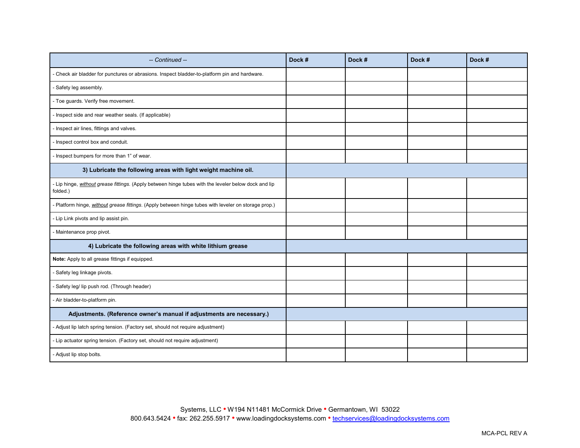| -- Continued --                                                                                                  | Dock # | Dock # | Dock # | Dock # |
|------------------------------------------------------------------------------------------------------------------|--------|--------|--------|--------|
| Check air bladder for punctures or abrasions. Inspect bladder-to-platform pin and hardware.                      |        |        |        |        |
| - Safety leg assembly.                                                                                           |        |        |        |        |
| - Toe guards. Verify free movement.                                                                              |        |        |        |        |
| - Inspect side and rear weather seals. (If applicable)                                                           |        |        |        |        |
| Inspect air lines, fittings and valves.                                                                          |        |        |        |        |
| Inspect control box and conduit.                                                                                 |        |        |        |        |
| - Inspect bumpers for more than 1" of wear.                                                                      |        |        |        |        |
| 3) Lubricate the following areas with light weight machine oil.                                                  |        |        |        |        |
| - Lip hinge, without grease fittings. (Apply between hinge tubes with the leveler below dock and lip<br>folded.) |        |        |        |        |
| Platform hinge, without grease fittings. (Apply between hinge tubes with leveler on storage prop.)               |        |        |        |        |
| - Lip Link pivots and lip assist pin.                                                                            |        |        |        |        |
| Maintenance prop pivot.                                                                                          |        |        |        |        |
| 4) Lubricate the following areas with white lithium grease                                                       |        |        |        |        |
| Note: Apply to all grease fittings if equipped.                                                                  |        |        |        |        |
| - Safety leg linkage pivots.                                                                                     |        |        |        |        |
| - Safety leg/ lip push rod. (Through header)                                                                     |        |        |        |        |
| - Air bladder-to-platform pin.                                                                                   |        |        |        |        |
| Adjustments. (Reference owner's manual if adjustments are necessary.)                                            |        |        |        |        |
| - Adjust lip latch spring tension. (Factory set, should not require adjustment)                                  |        |        |        |        |
| - Lip actuator spring tension. (Factory set, should not require adjustment)                                      |        |        |        |        |
| - Adjust lip stop bolts.                                                                                         |        |        |        |        |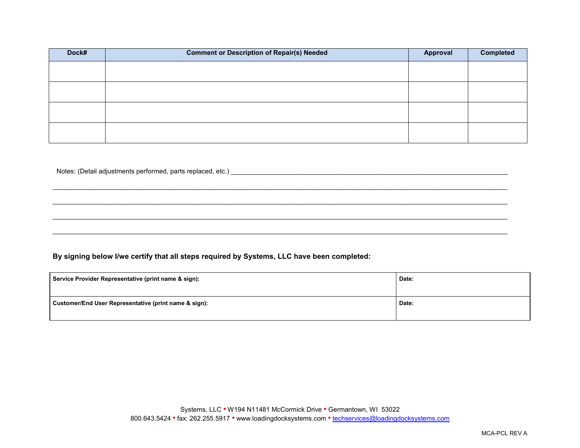| Dock# | <b>Comment or Description of Repair(s) Needed</b> | Approval | <b>Completed</b> |
|-------|---------------------------------------------------|----------|------------------|
|       |                                                   |          |                  |
|       |                                                   |          |                  |
|       |                                                   |          |                  |
|       |                                                   |          |                  |

 $\mathcal{L}_\mathcal{L} = \{ \mathcal{L}_\mathcal{L} = \{ \mathcal{L}_\mathcal{L} = \{ \mathcal{L}_\mathcal{L} = \{ \mathcal{L}_\mathcal{L} = \{ \mathcal{L}_\mathcal{L} = \{ \mathcal{L}_\mathcal{L} = \{ \mathcal{L}_\mathcal{L} = \{ \mathcal{L}_\mathcal{L} = \{ \mathcal{L}_\mathcal{L} = \{ \mathcal{L}_\mathcal{L} = \{ \mathcal{L}_\mathcal{L} = \{ \mathcal{L}_\mathcal{L} = \{ \mathcal{L}_\mathcal{L} = \{ \mathcal{L}_\mathcal{$ 

\_\_\_\_\_\_\_\_\_\_\_\_\_\_\_\_\_\_\_\_\_\_\_\_\_\_\_\_\_\_\_\_\_\_\_\_\_\_\_\_\_\_\_\_\_\_\_\_\_\_\_\_\_\_\_\_\_\_\_\_\_\_\_\_\_\_\_\_\_\_\_\_\_\_\_\_\_\_\_\_\_\_\_\_\_\_\_\_\_\_\_\_\_\_\_\_\_\_\_\_\_\_\_\_\_\_\_\_\_\_\_\_\_\_\_\_\_\_\_\_\_\_\_\_

 $\mathcal{L}_\mathcal{L} = \{ \mathcal{L}_\mathcal{L} = \{ \mathcal{L}_\mathcal{L} = \{ \mathcal{L}_\mathcal{L} = \{ \mathcal{L}_\mathcal{L} = \{ \mathcal{L}_\mathcal{L} = \{ \mathcal{L}_\mathcal{L} = \{ \mathcal{L}_\mathcal{L} = \{ \mathcal{L}_\mathcal{L} = \{ \mathcal{L}_\mathcal{L} = \{ \mathcal{L}_\mathcal{L} = \{ \mathcal{L}_\mathcal{L} = \{ \mathcal{L}_\mathcal{L} = \{ \mathcal{L}_\mathcal{L} = \{ \mathcal{L}_\mathcal{$ 

 $\mathcal{L}_\mathcal{L} = \{ \mathcal{L}_\mathcal{L} = \{ \mathcal{L}_\mathcal{L} = \{ \mathcal{L}_\mathcal{L} = \{ \mathcal{L}_\mathcal{L} = \{ \mathcal{L}_\mathcal{L} = \{ \mathcal{L}_\mathcal{L} = \{ \mathcal{L}_\mathcal{L} = \{ \mathcal{L}_\mathcal{L} = \{ \mathcal{L}_\mathcal{L} = \{ \mathcal{L}_\mathcal{L} = \{ \mathcal{L}_\mathcal{L} = \{ \mathcal{L}_\mathcal{L} = \{ \mathcal{L}_\mathcal{L} = \{ \mathcal{L}_\mathcal{$ 

Notes: (Detail adjustments performed, parts replaced, etc.) **and the example of the example of the example of the example of the example of the example of the example of the example of the example of the example of the exa** 

## **By signing below I/we certify that all steps required by Systems, LLC have been completed:**

| Service Provider Representative (print name & sign):  | Date: |
|-------------------------------------------------------|-------|
| Customer/End User Representative (print name & sign): | Date: |